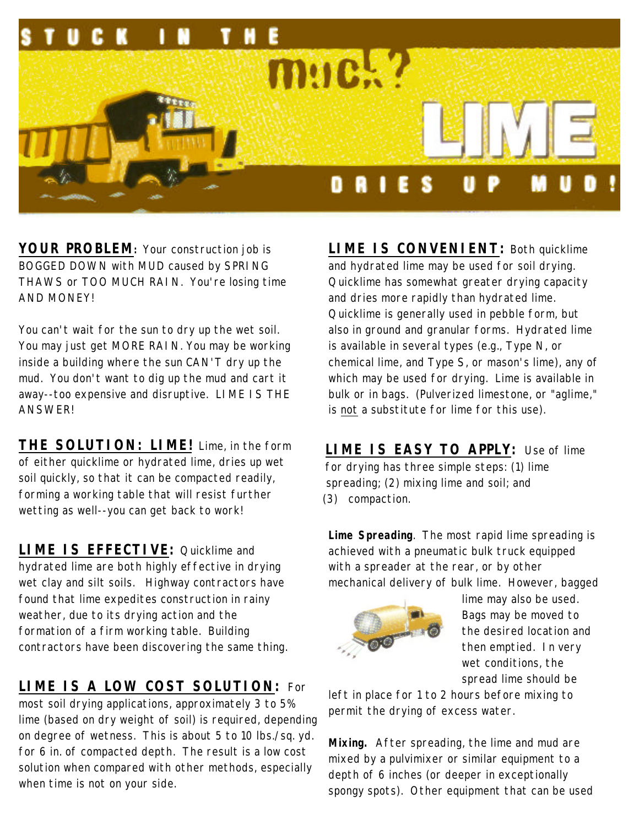

**YOUR PROBLEM:** Your construction job is BOGGED DOWN with MUD caused by SPRING THAWS or TOO MUCH RAIN. You're losing time AND MONEY!

You can't wait for the sun to dry up the wet soil. You may just get MORE RAIN. You may be working inside a building where the sun CAN'T dry up the mud. You don't want to dig up the mud and cart it away--too expensive and disruptive. LIME IS THE **ANSWER!** 

**THE SOLUTION: LIME!** Lime, in the form of either quicklime or hydrated lime, dries up wet soil quickly, so that it can be compacted readily, forming a working table that will resist further wetting as well--you can get back to work!

**LIME IS EFFECTIVE:** Quicklime and hydrated lime are both highly effective in drying wet clay and silt soils. Highway contractors have found that lime expedites construction in rainy weather, due to its drying action and the formation of a firm working table. Building contractors have been discovering the same thing.

## **LIME IS A LOW COST SOLUTION:** For

most soil drying applications, approximately 3 to 5% lime (based on dry weight of soil) is required, depending on degree of wetness. This is about 5 to 10 lbs./sq. yd. for 6 in. of compacted depth. The result is a low cost solution when compared with other methods, especially when time is not on your side.

**LIME IS CONVENIENT:** Both quicklime and hydrated lime may be used for soil drying. Quicklime has somewhat greater drying capacity and dries more rapidly than hydrated lime. Quicklime is generally used in pebble form, but also in ground and granular forms. Hydrated lime is available in several types (e.g., Type N, or chemical lime, and Type S, or mason's lime), any of which may be used for drying. Lime is available in bulk or in bags. (Pulverized limestone, or "aglime," is not a substitute for lime for this use).

**LIME IS EASY TO APPLY:** Use of lime for drying has three simple steps: (1) lime spreading; (2) mixing lime and soil; and (3) compaction.

**Lime Spreading**. The most rapid lime spreading is achieved with a pneumatic bulk truck equipped with a spreader at the rear, or by other mechanical delivery of bulk lime. However, bagged



lime may also be used. Bags may be moved to the desired location and then emptied. In very wet conditions, the spread lime should be

left in place for 1 to 2 hours before mixing to permit the drying of excess water.

**Mixing.** After spreading, the lime and mud are mixed by a pulvimixer or similar equipment to a depth of 6 inches (or deeper in exceptionally spongy spots). Other equipment that can be used